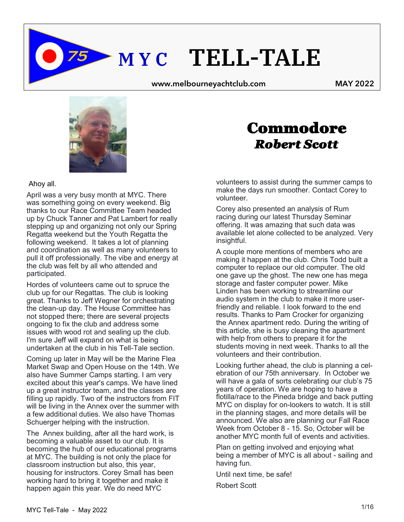**M Y C TELL-TALE**

 **www.melbourneyachtclub.com MAY 2022** 



#### Ahoy all.

April was a very busy month at MYC. There was something going on every weekend. Big thanks to our Race Committee Team headed up by Chuck Tanner and Pat Lambert for really stepping up and organizing not only our Spring Regatta weekend but the Youth Regatta the following weekend. It takes a lot of planning and coordination as well as many volunteers to pull it off professionally. The vibe and energy at the club was felt by all who attended and participated.

Hordes of volunteers came out to spruce the club up for our Regattas. The club is looking great. Thanks to Jeff Wegner for orchestrating the clean-up day. The House Committee has not stopped there; there are several projects ongoing to fix the club and address some issues with wood rot and sealing up the club. I'm sure Jeff will expand on what is being undertaken at the club in his Tell-Tale section.

Coming up later in May will be the Marine Flea Market Swap and Open House on the 14th. We also have Summer Camps starting. I am very excited about this year's camps. We have lined up a great instructor team, and the classes are filling up rapidly. Two of the instructors from FIT will be living in the Annex over the summer with a few additional duties. We also have Thomas Schuerger helping with the instruction.

The Annex building, after all the hard work, is becoming a valuable asset to our club. It is becoming the hub of our educational programs at MYC. The building is not only the place for classroom instruction but also, this year, housing for instructors. Corey Small has been working hard to bring it together and make it happen again this year. We do need MYC

## Commodore  *Robert Scott*

volunteers to assist during the summer camps to make the days run smoother. Contact Corey to volunteer.

Corey also presented an analysis of Rum racing during our latest Thursday Seminar offering. It was amazing that such data was available let alone collected to be analyzed. Very insightful.

A couple more mentions of members who are making it happen at the club. Chris Todd built a computer to replace our old computer. The old one gave up the ghost. The new one has mega storage and faster computer power. Mike Linden has been working to streamline our audio system in the club to make it more userfriendly and reliable. I look forward to the end results. Thanks to Pam Crocker for organizing the Annex apartment redo. During the writing of this article, she is busy cleaning the apartment with help from others to prepare it for the students moving in next week. Thanks to all the volunteers and their contribution.

Looking further ahead, the club is planning a celebration of our 75th anniversary. In October we will have a gala of sorts celebrating our club's 75 years of operation. We are hoping to have a flotilla/race to the Pineda bridge and back putting MYC on display for on-lookers to watch. It is still in the planning stages, and more details will be announced. We also are planning our Fall Race Week from October 8 - 15. So, October will be another MYC month full of events and activities.

Plan on getting involved and enjoying what being a member of MYC is all about - sailing and having fun.

Until next time, be safe!

Robert Scott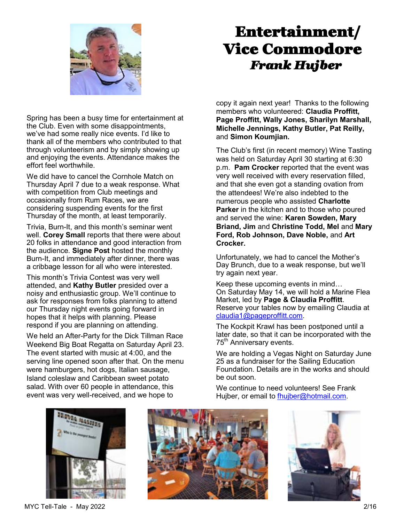

# Entertainment/ Vice Commodore  *Frank Hujber*

Spring has been a busy time for entertainment at the Club. Even with some disappointments, we've had some really nice events. I'd like to thank all of the members who contributed to that through volunteerism and by simply showing up and enjoying the events. Attendance makes the effort feel worthwhile.

We did have to cancel the Cornhole Match on Thursday April 7 due to a weak response. What with competition from Club meetings and occasionally from Rum Races, we are considering suspending events for the first Thursday of the month, at least temporarily.

Trivia, Burn-It, and this month's seminar went well. **Corey Small** reports that there were about 20 folks in attendance and good interaction from the audience. **Signe Post** hosted the monthly Burn-It, and immediately after dinner, there was a cribbage lesson for all who were interested.

This month's Trivia Contest was very well attended, and **Kathy Butler** presided over a noisy and enthusiastic group. We'll continue to ask for responses from folks planning to attend our Thursday night events going forward in hopes that it helps with planning. Please respond if you are planning on attending.

We held an After-Party for the Dick Tillman Race Weekend Big Boat Regatta on Saturday April 23. The event started with music at 4:00, and the serving line opened soon after that. On the menu were hamburgers, hot dogs, Italian sausage, Island coleslaw and Caribbean sweet potato salad. With over 60 people in attendance, this event was very well-received, and we hope to

copy it again next year! Thanks to the following members who volunteered: **Claudia Proffitt, Page Proffitt, Wally Jones, Sharilyn Marshall, Michelle Jennings, Kathy Butler, Pat Reilly,**  and **Simon Koumjian.**

The Club's first (in recent memory) Wine Tasting was held on Saturday April 30 starting at 6:30 p.m. **Pam Crocker** reported that the event was very well received with every reservation filled, and that she even got a standing ovation from the attendees! We're also indebted to the numerous people who assisted **Charlotte Parker** in the kitchen and to those who poured and served the wine: **Karen Sowden, Mary Briand, Jim** and **Christine Todd, Mel** and **Mary Ford, Rob Johnson, Dave Noble,** and **Art Crocker.**

Unfortunately, we had to cancel the Mother's Day Brunch, due to a weak response, but we'll try again next year.

Keep these upcoming events in mind… On Saturday May 14, we will hold a Marine Flea Market, led by **Page & Claudia Proffitt**. Reserve your tables now by emailing Claudia at [claudia1@pageproffitt.com.](mailto:claudia1@pageproffitt.com) 

The Kockpit Krawl has been postponed until a later date, so that it can be incorporated with the 75<sup>th</sup> Anniversary events.

We are holding a Vegas Night on Saturday June 25 as a fundraiser for the Sailing Education Foundation. Details are in the works and should be out soon.

We continue to need volunteers! See Frank Hujber, or email to fhujber@hotmail.com.



MYC Tell-Tale - May 2022 2/16



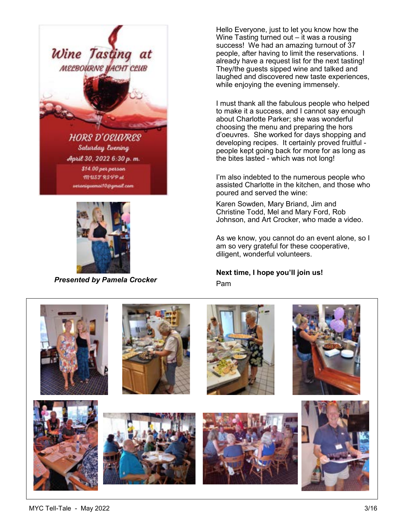



*Presented by Pamela Crocker*

Hello Everyone, just to let you know how the Wine Tasting turned out – it was a rousing success! We had an amazing turnout of 37 people, after having to limit the reservations. I already have a request list for the next tasting! They/the guests sipped wine and talked and laughed and discovered new taste experiences, while enjoying the evening immensely.

I must thank all the fabulous people who helped to make it a success, and I cannot say enough about Charlotte Parker; she was wonderful choosing the menu and preparing the hors d'oeuvres. She worked for days shopping and developing recipes. It certainly proved fruitful people kept going back for more for as long as the bites lasted - which was not long!

I'm also indebted to the numerous people who assisted Charlotte in the kitchen, and those who poured and served the wine:

Karen Sowden, Mary Briand, Jim and Christine Todd, Mel and Mary Ford, Rob Johnson, and Art Crocker, who made a video.

As we know, you cannot do an event alone, so I am so very grateful for these cooperative, diligent, wonderful volunteers.

**Next time, I hope you'll join us!** Pam

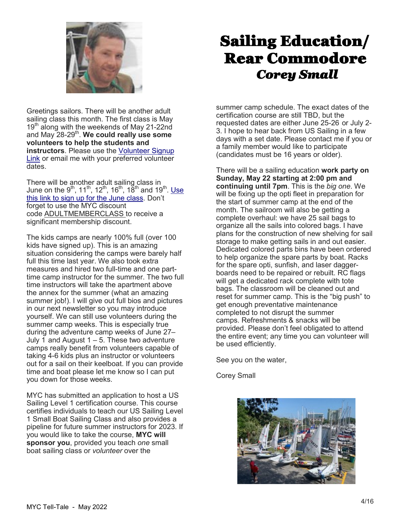

Greetings sailors. There will be another adult sailing class this month. The first class is May 19<sup>th</sup> along with the weekends of May 21-22nd and May 28-29<sup>th</sup>. We could really use some **volunteers to help the students and instructors**. Please use the [Volunteer Signup](https://app.squarespacescheduling.com/schedule.php?owner=19264821&appointmentType=category:Volunteer)  [Link](https://app.squarespacescheduling.com/schedule.php?owner=19264821&appointmentType=category:Volunteer) or email me with your preferred volunteer dates.

There will be another adult sailing class in June on the 9<sup>th</sup>, 11<sup>th</sup>, 12<sup>th</sup>, 16<sup>th</sup>, 18<sup>th</sup> and 19<sup>th</sup>. <u>Use</u> [this link to sign up for the June class.](https://app.squarespacescheduling.com/schedule.php?owner=19264821&appointmentType=33316513) Don't forget to use the MYC discount code ADULTMEMBERCLASS to receive a significant membership discount.

The kids camps are nearly 100% full (over 100 kids have signed up). This is an amazing situation considering the camps were barely half full this time last year. We also took extra measures and hired two full-time and one parttime camp instructor for the summer. The two full time instructors will take the apartment above the annex for the summer (what an amazing summer job!). I will give out full bios and pictures in our next newsletter so you may introduce yourself. We can still use volunteers during the summer camp weeks. This is especially true during the adventure camp weeks of June 27– July 1 and August 1 – 5. These two adventure camps really benefit from volunteers capable of taking 4-6 kids plus an instructor or volunteers out for a sail on their keelboat. If you can provide time and boat please let me know so I can put you down for those weeks.

MYC has submitted an application to host a US Sailing Level 1 certification course. This course certifies individuals to teach our US Sailing Level 1 Small Boat Sailing Class and also provides a pipeline for future summer instructors for 2023. If you would like to take the course, **MYC will sponsor you**, provided you teach *one* small boat sailing class or *volunteer* over the

# Sailing Education/ Rear Commodore *Corey Small*

summer camp schedule. The exact dates of the certification course are still TBD, but the requested dates are either June 25-26 or July 2- 3. I hope to hear back from US Sailing in a few days with a set date. Please contact me if you or a family member would like to participate (candidates must be 16 years or older).

There will be a sailing education **work party on Sunday, May 22 starting at 2:00 pm and continuing until 7pm**. This is the *big one*. We will be fixing up the opti fleet in preparation for the start of summer camp at the end of the month. The sailroom will also be getting a complete overhaul: we have 25 sail bags to organize all the sails into colored bags. I have plans for the construction of new shelving for sail storage to make getting sails in and out easier. Dedicated colored parts bins have been ordered to help organize the spare parts by boat. Racks for the spare opti, sunfish, and laser daggerboards need to be repaired or rebuilt. RC flags will get a dedicated rack complete with tote bags. The classroom will be cleaned out and reset for summer camp. This is the "big push" to get enough preventative maintenance completed to not disrupt the summer camps. Refreshments & snacks will be provided. Please don't feel obligated to attend the entire event; any time you can volunteer will be used efficiently.

See you on the water,

Corey Small

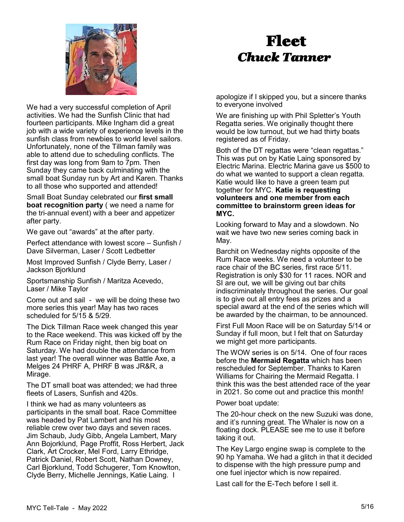

## Fleet *Chuck Tanner*

We had a very successful completion of April activities. We had the Sunfish Clinic that had fourteen participants. Mike Ingham did a great job with a wide variety of experience levels in the sunfish class from newbies to world level sailors. Unfortunately, none of the Tillman family was able to attend due to scheduling conflicts. The first day was long from 9am to 7pm. Then Sunday they came back culminating with the small boat Sunday run by Art and Karen. Thanks to all those who supported and attended!

Small Boat Sunday celebrated our **first small boat recognition party** ( we need a name for the tri-annual event) with a beer and appetizer after party.

We gave out "awards" at the after party.

Perfect attendance with lowest score – Sunfish / Dave Silverman, Laser / Scott Ledbetter

Most Improved Sunfish / Clyde Berry, Laser / Jackson Bjorklund

Sportsmanship Sunfish / Maritza Acevedo, Laser / Mike Taylor

Come out and sail - we will be doing these two more series this year! May has two races scheduled for 5/15 & 5/29.

The Dick Tillman Race week changed this year to the Race weekend. This was kicked off by the Rum Race on Friday night, then big boat on Saturday. We had double the attendance from last year! The overall winner was Battle Axe, a Melges 24 PHRF A, PHRF B was JR&R, a Mirage.

The DT small boat was attended; we had three fleets of Lasers, Sunfish and 420s.

I think we had as many volunteers as participants in the small boat. Race Committee was headed by Pat Lambert and his most reliable crew over two days and seven races. Jim Schaub, Judy Gibb, Angela Lambert, Mary Ann Bojorklund, Page Proffit, Ross Herbert, Jack Clark, Art Crocker, Mel Ford, Larry Ethridge, Patrick Daniel, Robert Scott, Nathan Downey, Carl Bjorklund, Todd Schugerer, Tom Knowlton, Clyde Berry, Michelle Jennings, Katie Laing. I

apologize if I skipped you, but a sincere thanks to everyone involved

We are finishing up with Phil Spletter's Youth Regatta series. We originally thought there would be low turnout, but we had thirty boats registered as of Friday.

Both of the DT regattas were "clean regattas." This was put on by Katie Laing sponsored by Electric Marina. Electric Marina gave us \$500 to do what we wanted to support a clean regatta. Katie would like to have a green team put together for MYC. **Katie is requesting volunteers and one member from each committee to brainstorm green ideas for MYC.**

Looking forward to May and a slowdown. No wait we have two new series coming back in May.

Barchit on Wednesday nights opposite of the Rum Race weeks. We need a volunteer to be race chair of the BC series, first race 5/11. Registration is only \$30 for 11 races. NOR and SI are out, we will be giving out bar chits indiscriminately throughout the series. Our goal is to give out all entry fees as prizes and a special award at the end of the series which will be awarded by the chairman, to be announced.

First Full Moon Race will be on Saturday 5/14 or Sunday if full moon, but I felt that on Saturday we might get more participants.

The WOW series is on 5/14. One of four races before the **Mermaid Regatta** which has been rescheduled for September. Thanks to Karen Williams for Chairing the Mermaid Regatta. I think this was the best attended race of the year in 2021. So come out and practice this month!

Power boat update:

The 20-hour check on the new Suzuki was done, and it's running great. The Whaler is now on a floating dock. PLEASE see me to use it before taking it out.

The Key Largo engine swap is complete to the 90 hp Yamaha. We had a glitch in that it decided to dispense with the high pressure pump and one fuel injector which is now repaired.

Last call for the E-Tech before I sell it.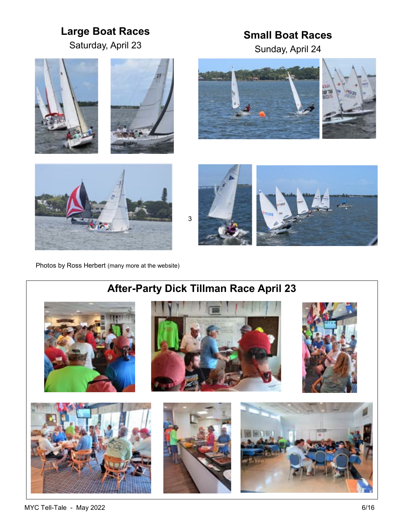## **Large Boat Races**

Saturday, April 23

### **Small Boat Races**

Sunday, April 24











Photos by Ross Herbert (many more at the website)



### **After-Party Dick Tillman Race April 23**



MYC Tell-Tale - May 2022 6/16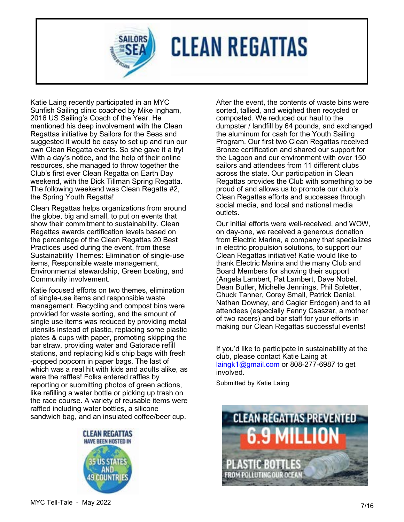**CLEAN REGATTAS** 

Katie Laing recently participated in an MYC Sunfish Sailing clinic coached by Mike Ingham, 2016 US Sailing's Coach of the Year. He mentioned his deep involvement with the Clean Regattas initiative by Sailors for the Seas and suggested it would be easy to set up and run our own Clean Regatta events. So she gave it a try! With a day's notice, and the help of their online resources, she managed to throw together the Club's first ever Clean Regatta on Earth Day weekend, with the Dick Tillman Spring Regatta. The following weekend was Clean Regatta #2, the Spring Youth Regatta!

Clean Regattas helps organizations from around the globe, big and small, to put on events that show their commitment to sustainability. Clean Regattas awards certification levels based on the percentage of the Clean Regattas 20 Best Practices used during the event, from these Sustainability Themes: Elimination of single-use items, Responsible waste management, Environmental stewardship, Green boating, and Community involvement.

Katie focused efforts on two themes, elimination of single-use items and responsible waste management. Recycling and compost bins were provided for waste sorting, and the amount of single use items was reduced by providing metal utensils instead of plastic, replacing some plastic plates & cups with paper, promoting skipping the bar straw, providing water and Gatorade refill stations, and replacing kid's chip bags with fresh -popped popcorn in paper bags. The last of which was a real hit with kids and adults alike, as were the raffles! Folks entered raffles by reporting or submitting photos of green actions, like refilling a water bottle or picking up trash on the race course. A variety of reusable items were raffled including water bottles, a silicone sandwich bag, and an insulated coffee/beer cup.



After the event, the contents of waste bins were sorted, tallied, and weighed then recycled or composted. We reduced our haul to the dumpster / landfill by 64 pounds, and exchanged the aluminum for cash for the Youth Sailing Program. Our first two Clean Regattas received Bronze certification and shared our support for the Lagoon and our environment with over 150 sailors and attendees from 11 different clubs across the state. Our participation in Clean Regattas provides the Club with something to be proud of and allows us to promote our club's Clean Regattas efforts and successes through social media, and local and national media outlets.

Our initial efforts were well-received, and WOW, on day-one, we received a generous donation from Electric Marina, a company that specializes in electric propulsion solutions, to support our Clean Regattas initiative! Katie would like to thank Electric Marina and the many Club and Board Members for showing their support (Angela Lambert, Pat Lambert, Dave Nobel, Dean Butler, Michelle Jennings, Phil Spletter, Chuck Tanner, Corey Small, Patrick Daniel, Nathan Downey, and Caglar Erdogen) and to all attendees (especially Fenny Csaszar, a mother of two racers) and bar staff for your efforts in making our Clean Regattas successful events!

If you'd like to participate in sustainability at the club, please contact Katie Laing at [laingk1@gmail.com](mailto:laingk1@gmail.com) or 808-277-6987 to get involved.

Submitted by Katie Laing

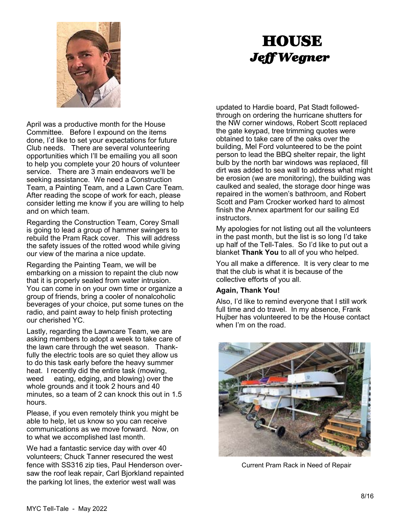

# **HOUSE** *Jeff Wegner*

April was a productive month for the House Committee. Before I expound on the items done, I'd like to set your expectations for future Club needs. There are several volunteering opportunities which I'll be emailing you all soon to help you complete your 20 hours of volunteer service. There are 3 main endeavors we'll be seeking assistance. We need a Construction Team, a Painting Team, and a Lawn Care Team. After reading the scope of work for each, please consider letting me know if you are willing to help and on which team.

Regarding the Construction Team, Corey Small is going to lead a group of hammer swingers to rebuild the Pram Rack cover. This will address the safety issues of the rotted wood while giving our view of the marina a nice update.

Regarding the Painting Team, we will be embarking on a mission to repaint the club now that it is properly sealed from water intrusion. You can come in on your own time or organize a group of friends, bring a cooler of nonalcoholic beverages of your choice, put some tunes on the radio, and paint away to help finish protecting our cherished YC.

Lastly, regarding the Lawncare Team, we are asking members to adopt a week to take care of the lawn care through the wet season. Thankfully the electric tools are so quiet they allow us to do this task early before the heavy summer heat. I recently did the entire task (mowing, weed eating, edging, and blowing) over the whole grounds and it took 2 hours and 40 minutes, so a team of 2 can knock this out in 1.5 hours.

Please, if you even remotely think you might be able to help, let us know so you can receive communications as we move forward. Now, on to what we accomplished last month.

We had a fantastic service day with over 40 volunteers; Chuck Tanner resecured the west fence with SS316 zip ties, Paul Henderson oversaw the roof leak repair, Carl Bjorkland repainted the parking lot lines, the exterior west wall was

updated to Hardie board, Pat Stadt followedthrough on ordering the hurricane shutters for the NW corner windows, Robert Scott replaced the gate keypad, tree trimming quotes were obtained to take care of the oaks over the building, Mel Ford volunteered to be the point person to lead the BBQ shelter repair, the light bulb by the north bar windows was replaced, fill dirt was added to sea wall to address what might be erosion (we are monitoring), the building was caulked and sealed, the storage door hinge was repaired in the women's bathroom, and Robert Scott and Pam Crocker worked hard to almost finish the Annex apartment for our sailing Ed instructors.

My apologies for not listing out all the volunteers in the past month, but the list is so long I'd take up half of the Tell-Tales. So I'd like to put out a blanket **Thank You** to all of you who helped.

You all make a difference. It is very clear to me that the club is what it is because of the collective efforts of you all.

#### **Again, Thank You!**

Also, I'd like to remind everyone that I still work full time and do travel. In my absence, Frank Hujber has volunteered to be the House contact when I'm on the road.



Current Pram Rack in Need of Repair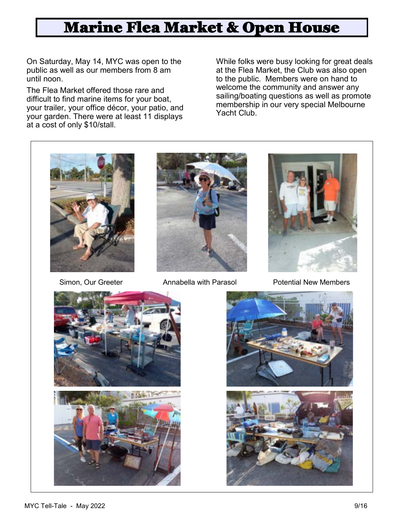# Marine Flea Market & Open House

On Saturday, May 14, MYC was open to the public as well as our members from 8 am until noon.

The Flea Market offered those rare and difficult to find marine items for your boat, your trailer, your office décor, your patio, and your garden. There were at least 11 displays at a cost of only \$10/stall.

While folks were busy looking for great deals at the Flea Market, the Club was also open to the public. Members were on hand to welcome the community and answer any sailing/boating questions as well as promote membership in our very special Melbourne Yacht Club.







Simon, Our Greeter **Annabella with Parasol** Potential New Members



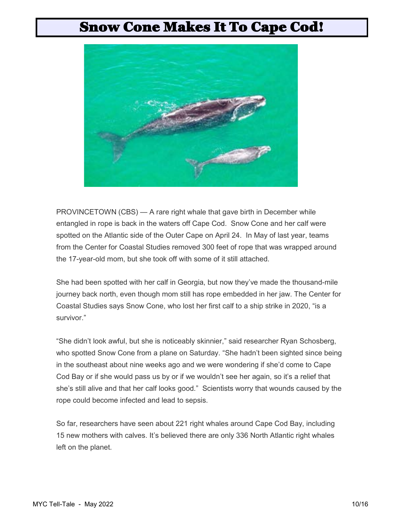## Snow Cone Makes It To Cape Cod!



PROVINCETOWN (CBS) — A rare right whale that gave birth in December while entangled in rope is back in the waters off Cape Cod. Snow Cone and her calf were spotted on the Atlantic side of the Outer Cape on April 24. In May of last year, teams from the Center for Coastal Studies removed 300 feet of rope that was wrapped around the 17-year-old mom, but she took off with some of it still attached.

She had been spotted with her calf in Georgia, but now they've made the thousand-mile journey back north, even though mom still has rope embedded in her jaw. The Center for Coastal Studies says Snow Cone, who lost her first calf to a ship strike in 2020, "is a survivor."

"She didn't look awful, but she is noticeably skinnier," said researcher Ryan Schosberg, who spotted Snow Cone from a plane on Saturday. "She hadn't been sighted since being in the southeast about nine weeks ago and we were wondering if she'd come to Cape Cod Bay or if she would pass us by or if we wouldn't see her again, so it's a relief that she's still alive and that her calf looks good." Scientists worry that wounds caused by the rope could become infected and lead to sepsis.

So far, researchers have seen about 221 right whales around Cape Cod Bay, including 15 new mothers with calves. It's believed there are only 336 North Atlantic right whales left on the planet.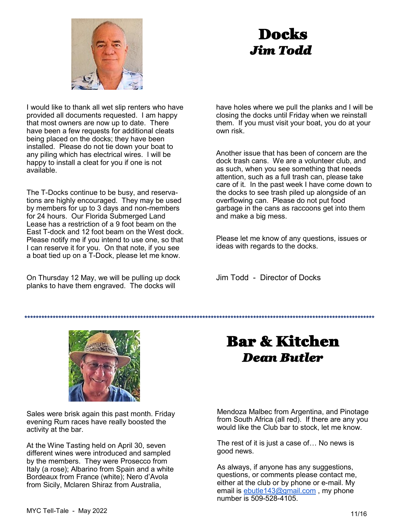

# Docks *Jim Todd*

I would like to thank all wet slip renters who have provided all documents requested. I am happy that most owners are now up to date. There have been a few requests for additional cleats being placed on the docks; they have been installed. Please do not tie down your boat to any piling which has electrical wires. l will be happy to install a cleat for you if one is not available.

The T-Docks continue to be busy, and reservations are highly encouraged. They may be used by members for up to 3 days and non-members for 24 hours. Our Florida Submerged Land Lease has a restriction of a 9 foot beam on the East T-dock and 12 foot beam on the West dock. Please notify me if you intend to use one, so that I can reserve it for you. On that note, if you see a boat tied up on a T-Dock, please let me know.

On Thursday 12 May, we will be pulling up dock planks to have them engraved. The docks will

have holes where we pull the planks and I will be closing the docks until Friday when we reinstall them. If you must visit your boat, you do at your own risk.

Another issue that has been of concern are the dock trash cans. We are a volunteer club, and as such, when you see something that needs attention, such as a full trash can, please take care of it. In the past week I have come down to the docks to see trash piled up alongside of an overflowing can. Please do not put food garbage in the cans as raccoons get into them and make a big mess.

Please let me know of any questions, issues or ideas with regards to the docks.

Jim Todd - Director of Docks

**\*\*\*\*\*\*\*\*\*\*\*\*\*\*\*\*\*\*\*\*\*\*\*\*\*\*\*\*\*\*\*\*\*\*\*\*\*\*\*\*\*\*\*\*\*\*\*\*\*\*\*\*\*\*\*\*\*\*\*\*\*\*\*\*\*\*\*\*\*\*\*\*\*\*\*\*\*\*\*\*\*\*\*\*\*\*\*\*\*\*\*\*\*\*\*\*\*\*\*\*\*\*\*\*\*\*\*\*\*\*\*\*\*\*\*\*\*\*\*\*\*\*\*\***

# Bar & Kitchen *Dean Butler*

Sales were brisk again this past month. Friday evening Rum races have really boosted the activity at the bar.

At the Wine Tasting held on April 30, seven different wines were introduced and sampled by the members. They were Prosecco from Italy (a rose); Albarino from Spain and a white Bordeaux from France (white); Nero d'Avola from Sicily, Mclaren Shiraz from Australia,

Mendoza Malbec from Argentina, and Pinotage from South Africa (all red). If there are any you would like the Club bar to stock, let me know.

The rest of it is just a case of… No news is good news.

As always, if anyone has any suggestions, questions, or comments please contact me, either at the club or by phone or e-mail. My email is [ebutle143@gmail.com](mailto:ebutle143@gmail.com), my phone number is 509-528-4105.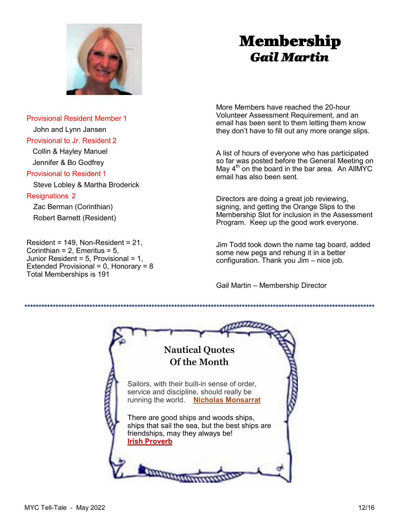

# Membership *Gail Martin*

Provisional Resident Member 1 John and Lynn Jansen Provisional to Jr. Resident 2 Collin & Hayley Manuel

 Jennifer & Bo Godfrey Provisional to Resident 1

Steve Lobley & Martha Broderick

#### Resignations 2

 Zac Berman (Corinthian) Robert Barnett (Resident)

 $Resident = 149$ , Non-Resident = 21, Corinthian =  $2$ , Emeritus =  $5$ , Junior Resident =  $5$ , Provisional =  $1$ , Extended Provisional =  $0$ , Honorary =  $8$ Total Memberships is 191

More Members have reached the 20-hour Volunteer Assessment Requirement, and an email has been sent to them letting them know they don't have to fill out any more orange slips.

A list of hours of everyone who has participated so far was posted before the General Meeting on May  $4<sup>th</sup>$  on the board in the bar area. An AllMYC email has also been sent.

Directors are doing a great job reviewing, signing, and getting the Orange Slips to the Membership Slot for inclusion in the Assessment Program. Keep up the good work everyone.

Jim Todd took down the name tag board, added some new pegs and rehung it in a better configuration. Thank you Jim – nice job.

Gail Martin – Membership Director

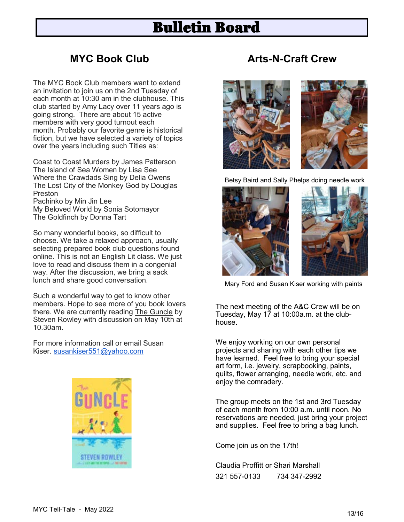## Bulletin Board

#### **MYC Book Club**

The MYC Book Club members want to extend an invitation to join us on the 2nd Tuesday of each month at 10:30 am in the clubhouse. This club started by Amy Lacy over 11 years ago is going strong. There are about 15 active members with very good turnout each month. Probably our favorite genre is historical fiction, but we have selected a variety of topics over the years including such Titles as:

Coast to Coast Murders by James Patterson The Island of Sea Women by Lisa See Where the Crawdads Sing by Delia Owens The Lost City of the Monkey God by Douglas Preston Pachinko by Min Jin Lee My Beloved World by Sonia Sotomayor

The Goldfinch by Donna Tart

So many wonderful books, so difficult to choose. We take a relaxed approach, usually selecting prepared book club questions found online. This is not an English Lit class. We just love to read and discuss them in a congenial way. After the discussion, we bring a sack lunch and share good conversation.

Such a wonderful way to get to know other members. Hope to see more of you book lovers there. We are currently reading The Guncle by Steven Rowley with discussion on May 10th at 10.30am.

For more information call or email Susan Kiser. [susankiser551@yahoo.com](mailto:susankiser551@yahoo.com)



### **Arts-N-Craft Crew**



Betsy Baird and Sally Phelps doing needle work



Mary Ford and Susan Kiser working with paints

The next meeting of the A&C Crew will be on Tuesday, May 17 at 10:00a.m. at the clubhouse.

We enjoy working on our own personal projects and sharing with each other tips we have learned. Feel free to bring your special art form, i.e. jewelry, scrapbooking, paints, quilts, flower arranging, needle work, etc. and enjoy the comradery.

The group meets on the 1st and 3rd Tuesday of each month from 10:00 a.m. until noon. No reservations are needed, just bring your project and supplies. Feel free to bring a bag lunch.

Come join us on the 17th!

Claudia Proffitt or Shari Marshall 321 557-0133 734 347-2992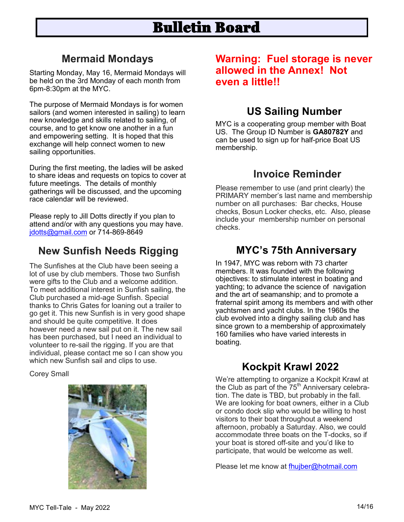# Bulletin Board

### **Mermaid Mondays**

Starting Monday, May 16, Mermaid Mondays will be held on the 3rd Monday of each month from 6pm-8:30pm at the MYC.

The purpose of Mermaid Mondays is for women sailors (and women interested in sailing) to learn new knowledge and skills related to sailing, of course, and to get know one another in a fun and empowering setting. It is hoped that this exchange will help connect women to new sailing opportunities.

During the first meeting, the ladies will be asked to share ideas and requests on topics to cover at future meetings. The details of monthly gatherings will be discussed, and the upcoming race calendar will be reviewed.

Please reply to Jill Dotts directly if you plan to attend and/or with any questions you may have. [jdotts@gmail.com](mailto:jdotts@gmail.com) or 714-869-8649

### **New Sunfish Needs Rigging**

The Sunfishes at the Club have been seeing a lot of use by club members. Those two Sunfish were gifts to the Club and a welcome addition. To meet additional interest in Sunfish sailing, the Club purchased a mid-age Sunfish. Special thanks to Chris Gates for loaning out a trailer to go get it. This new Sunfish is in very good shape and should be quite competitive. It does however need a new sail put on it. The new sail has been purchased, but I need an individual to volunteer to re-sail the rigging. If you are that individual, please contact me so I can show you which new Sunfish sail and clips to use.

Corey Small



#### **Warning: Fuel storage is never allowed in the Annex! Not even a little!!**

### **US Sailing Number**

MYC is a cooperating group member with Boat US. The Group ID Number is **GA80782Y** and can be used to sign up for half-price Boat US membership.

#### **Invoice Reminder**

Please remember to use (and print clearly) the PRIMARY member's last name and membership number on all purchases: Bar checks, House checks, Bosun Locker checks, etc. Also, please include your membership number on personal checks.

#### **MYC's 75th Anniversary**

In 1947, MYC was reborn with 73 charter members. It was founded with the following objectives: to stimulate interest in boating and yachting; to advance the science of navigation and the art of seamanship; and to promote a fraternal spirit among its members and with other yachtsmen and yacht clubs. In the 1960s the club evolved into a dinghy sailing club and has since grown to a membership of approximately 160 families who have varied interests in boating.

### **Kockpit Krawl 2022**

We're attempting to organize a Kockpit Krawl at the Club as part of the  $75<sup>th</sup>$  Anniversary celebration. The date is TBD, but probably in the fall. We are looking for boat owners, either in a Club or condo dock slip who would be willing to host visitors to their boat throughout a weekend afternoon, probably a Saturday. Also, we could accommodate three boats on the T-docks, so if your boat is stored off-site and you'd like to participate, that would be welcome as well.

Please let me know at [fhujber@hotmail.com](mailto:fhujber@hotmail.com)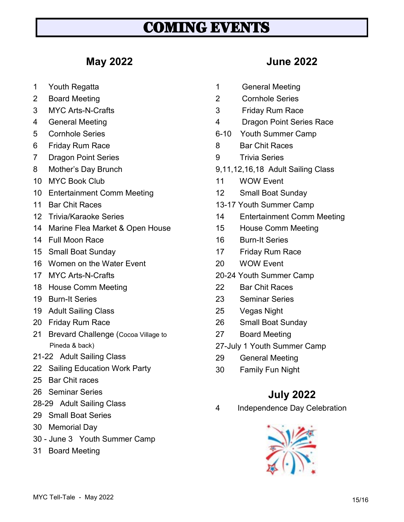# COMING EVENTS

### **May 2022**

- 1 Youth Regatta
- 2 Board Meeting
- 3 MYC Arts-N-Crafts
- 4 General Meeting
- 5 Cornhole Series
- 6 Friday Rum Race
- 7 Dragon Point Series
- 8 Mother's Day Brunch
- 10 MYC Book Club
- 10 Entertainment Comm Meeting
- 11 Bar Chit Races
- 12 Trivia/Karaoke Series
- 14 Marine Flea Market & Open House
- 14 Full Moon Race
- 15 Small Boat Sunday
- 16 Women on the Water Event
- 17 MYC Arts-N-Crafts
- 18 House Comm Meeting
- 19 Burn-It Series
- 19 Adult Sailing Class
- 20 Friday Rum Race
- 21 Brevard Challenge (Cocoa Village to Pineda & back)
- 21-22 Adult Sailing Class
- 22 Sailing Education Work Party
- 25 Bar Chit races
- 26 Seminar Series
- 28-29 Adult Sailing Class
- 29 Small Boat Series
- 30 Memorial Day
- 30 June 3 Youth Summer Camp
- 31 Board Meeting

#### **June 2022**

- 1 General Meeting
- 2 Cornhole Series
- 3 Friday Rum Race
- 4 Dragon Point Series Race
- 6-10 Youth Summer Camp
- 8 Bar Chit Races
- 9 Trivia Series
- 9,11,12,16,18 Adult Sailing Class
- 11 WOW Event
- 12 Small Boat Sunday
- 13-17 Youth Summer Camp
- 14 Entertainment Comm Meeting
- 15 House Comm Meeting
- 16 Burn-It Series
- 17 Friday Rum Race
- 20 WOW Event
- 20-24 Youth Summer Camp
- 22 Bar Chit Races
- 23 Seminar Series
- 25 Vegas Night
- 26 Small Boat Sunday
- 27 Board Meeting
- 27-July 1 Youth Summer Camp
- 29 General Meeting
- 30 Family Fun Night

#### **July 2022**

4 Independence Day Celebration